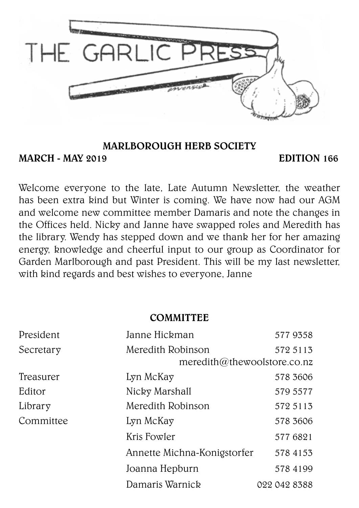

#### MARLBOROUGH HERB SOCIETY

MARCH - MAY 2019 **EDITION** 166

Welcome everyone to the late, Late Autumn Newsletter, the weather has been extra kind but Winter is coming. We have now had our AGM and welcome new committee member Damaris and note the changes in the Offices held. Nicky and Janne have swapped roles and Meredith has the library. Wendy has stepped down and we thank her for her amazing energy, knowledge and cheerful input to our group as Coordinator for Garden Marlborough and past President. This will be my last newsletter, with kind regards and best wishes to everyone, Janne

#### **COMMITTEE**

| President | Janne Hickman               | 5779358                     |
|-----------|-----------------------------|-----------------------------|
| Secretary | Meredith Robinson           | 572 5113                    |
|           |                             | meredith@thewoolstore.co.nz |
| Treasurer | Lyn McKay                   | 578 3606                    |
| Editor    | Nicky Marshall              | 579 5577                    |
| Library   | Meredith Robinson           | 572 5113                    |
| Committee | Lyn McKay                   | 578 3606                    |
|           | Kris Fowler                 | 577 6821                    |
|           | Annette Michna-Konigstorfer | 578 4153                    |
|           | Joanna Hepburn              | 578 4199                    |
|           | Damaris Warnick             | 022 042 8388                |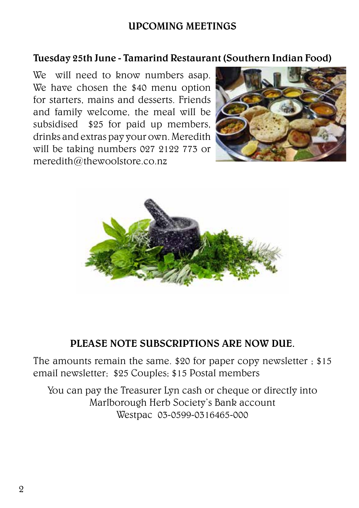#### UPCOMING MEETINGS

#### Tuesday 25th June - Tamarind Restaurant (Southern Indian Food)

We will need to know numbers asap. We have chosen the \$40 menu option for starters, mains and desserts. Friends and family welcome, the meal will be subsidised \$25 for paid up members, drinks and extras pay your own. Meredith will be taking numbers 027 2122 773 or meredith@thewoolstore.co.nz





#### PLEASE NOTE SUBSCRIPTIONS ARE NOW DUE.

The amounts remain the same. \$20 for paper copy newsletter ; \$15 email newsletter; \$25 Couples; \$15 Postal members

You can pay the Treasurer Lyn cash or cheque or directly into Marlborough Herb Society's Bank account Westpac 03-0599-0316465-000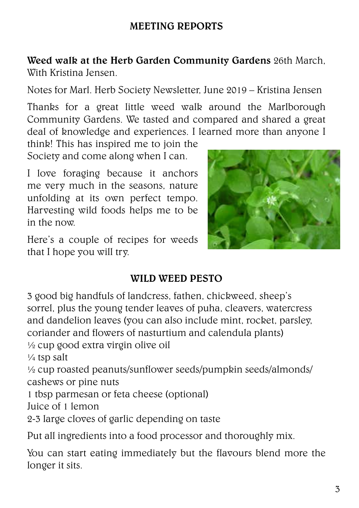## MEETING REPORTS

Weed walk at the Herb Garden Community Gardens 26th March, With Kristina Jensen.

Notes for Marl. Herb Society Newsletter, June 2019 – Kristina Jensen

Thanks for a great little weed walk around the Marlborough Community Gardens. We tasted and compared and shared a great deal of knowledge and experiences. I learned more than anyone I

think! This has inspired me to join the Society and come along when I can.

I love foraging because it anchors me very much in the seasons, nature unfolding at its own perfect tempo. Harvesting wild foods helps me to be in the now.

Here's a couple of recipes for weeds that I hope you will try.



#### WILD WEED PESTO

3 good big handfuls of landcress, fathen, chickweed, sheep's sorrel, plus the young tender leaves of puha, cleavers, watercress and dandelion leaves (you can also include mint, rocket, parsley, coriander and flowers of nasturtium and calendula plants)

½ cup good extra virgin olive oil

 $\frac{1}{4}$  tsp salt

½ cup roasted peanuts/sunflower seeds/pumpkin seeds/almonds/ cashews or pine nuts

1 tbsp parmesan or feta cheese (optional)

Juice of 1 lemon

2-3 large cloves of garlic depending on taste

Put all ingredients into a food processor and thoroughly mix.

You can start eating immediately but the flavours blend more the longer it sits.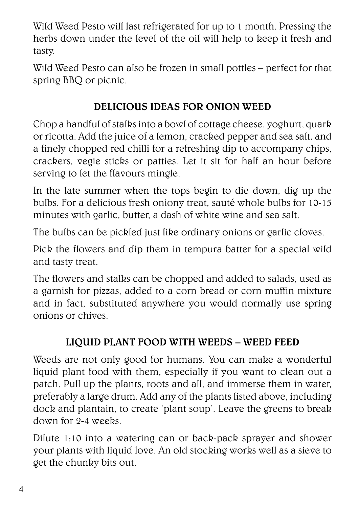Wild Weed Pesto will last refrigerated for up to 1 month. Pressing the herbs down under the level of the oil will help to keep it fresh and tasty.

Wild Weed Pesto can also be frozen in small pottles – perfect for that spring BBQ or picnic.

## DELICIOUS IDEAS FOR ONION WEED

Chop a handful of stalks into a bowl of cottage cheese, yoghurt, quark or ricotta. Add the juice of a lemon, cracked pepper and sea salt, and a finely chopped red chilli for a refreshing dip to accompany chips, crackers, vegie sticks or patties. Let it sit for half an hour before serving to let the flavours mingle.

In the late summer when the tops begin to die down, dig up the bulbs. For a delicious fresh oniony treat, sauté whole bulbs for 10-15 minutes with garlic, butter, a dash of white wine and sea salt.

The bulbs can be pickled just like ordinary onions or garlic cloves.

Pick the flowers and dip them in tempura batter for a special wild and tasty treat.

The flowers and stalks can be chopped and added to salads, used as a garnish for pizzas, added to a corn bread or corn muffin mixture and in fact, substituted anywhere you would normally use spring onions or chives.

## LIQUID PLANT FOOD WITH WEEDS – WEED FEED

Weeds are not only good for humans. You can make a wonderful liquid plant food with them, especially if you want to clean out a patch. Pull up the plants, roots and all, and immerse them in water, preferably a large drum. Add any of the plants listed above, including dock and plantain, to create 'plant soup'. Leave the greens to break down for 2-4 weeks.

Dilute 1:10 into a watering can or back-pack sprayer and shower your plants with liquid love. An old stocking works well as a sieve to get the chunky bits out.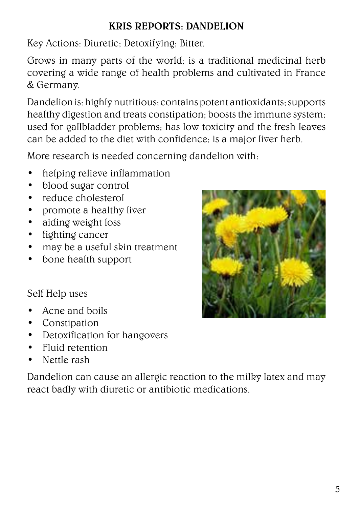## KRIS REPORTS: DANDELION

Key Actions: Diuretic; Detoxifying; Bitter.

Grows in many parts of the world; is a traditional medicinal herb covering a wide range of health problems and cultivated in France & Germany.

Dandelion is: highly nutritious; contains potent antioxidants; supports healthy digestion and treats constipation; boosts the immune system; used for gallbladder problems; has low toxicity and the fresh leaves can be added to the diet with confidence; is a major liver herb.

More research is needed concerning dandelion with:

- helping relieve inflammation
- blood sugar control
- reduce cholesterol
- promote a healthy liver
- aiding weight loss
- fighting cancer
- may be a useful skin treatment
- bone health support

Self Help uses

- Acne and boils
- Constipation
- Detoxification for hangovers
- Fluid retention
- Nettle rash

Dandelion can cause an allergic reaction to the milky latex and may react badly with diuretic or antibiotic medications.

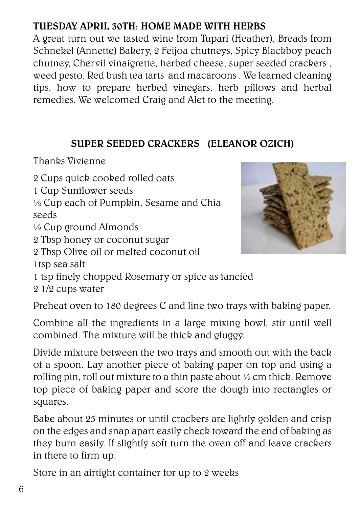# TUESDAY APRIL 30TH: HOME MADE WITH HERBS

A great turn out we tasted wine from Tupari (Heather), Breads from Schnekel (Annette) Bakery, 2 Feijoa chutneys, Spicy Blackboy peach chutney, Chervil vinaigrette, herbed cheese, super seeded crackers , weed pesto, Red bush tea tarts and macaroons . We learned cleaning tips, how to prepare herbed vinegars, herb pillows and herbal remedies. We welcomed Craig and Alet to the meeting.

### SUPER SEEDED CRACKERS (ELEANOR OZICH)

Thanks Vivienne

2 Cups quick cooked rolled oats

1 Cup Sunflower seeds

½ Cup each of Pumpkin, Sesame and Chia seeds

½ Cup ground Almonds

2 Tbsp honey or coconut sugar

2 Tbsp Olive oil or melted coconut oil 1tsp sea salt



1 tsp finely chopped Rosemary or spice as fancied

2 1/2 cups water

Preheat oven to 180 degrees C and line two trays with baking paper.

Combine all the ingredients in a large mixing bowl, stir until well combined. The mixture will be thick and gluggy.

Divide mixture between the two trays and smooth out with the back of a spoon. Lay another piece of baking paper on top and using a rolling pin, roll out mixture to a thin paste about ½ cm thick. Remove top piece of baking paper and score the dough into rectangles or squares.

Bake about 25 minutes or until crackers are lightly golden and crisp on the edges and snap apart easily check toward the end of baking as they burn easily. If slightly soft turn the oven off and leave crackers in there to firm up.

Store in an airtight container for up to 2 weeks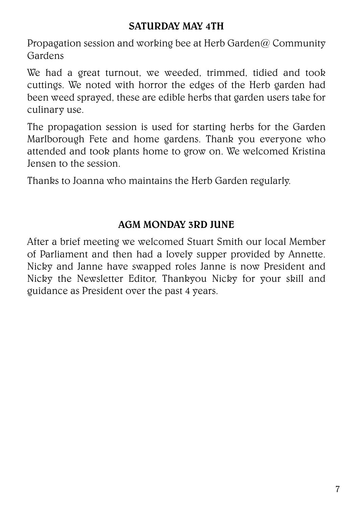#### SATURDAY MAY 4TH

Propagation session and working bee at Herb Garden@ Community Gardens

We had a great turnout, we weeded, trimmed, tidied and took cuttings. We noted with horror the edges of the Herb garden had been weed sprayed, these are edible herbs that garden users take for culinary use.

The propagation session is used for starting herbs for the Garden Marlborough Fete and home gardens. Thank you everyone who attended and took plants home to grow on. We welcomed Kristina Jensen to the session.

Thanks to Joanna who maintains the Herb Garden regularly.

### AGM MONDAY 3RD JUNE

After a brief meeting we welcomed Stuart Smith our local Member of Parliament and then had a lovely supper provided by Annette. Nicky and Janne have swapped roles Janne is now President and Nicky the Newsletter Editor, Thankyou Nicky for your skill and guidance as President over the past 4 years.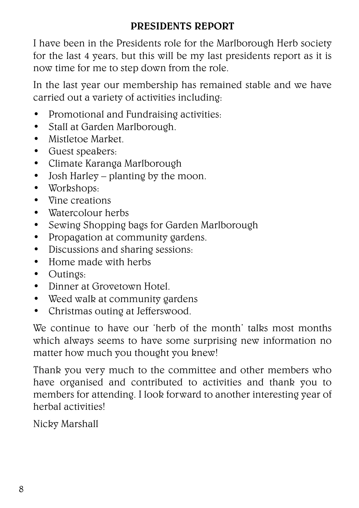## PRESIDENTS REPORT

I have been in the Presidents role for the Marlborough Herb society for the last 4 years, but this will be my last presidents report as it is now time for me to step down from the role.

In the last year our membership has remained stable and we have carried out a variety of activities including:

- Promotional and Fundraising activities:
- Stall at Garden Marlborough.
- Mistletoe Market.
- Guest speakers:
- Climate Karanga Marlborough
- Josh Harley planting by the moon.
- Workshops:
- Vine creations
- Watercolour herbs
- Sewing Shopping bags for Garden Marlborough
- Propagation at community gardens.
- Discussions and sharing sessions:
- Home made with herbs
- Outings:
- Dinner at Grovetown Hotel.
- Weed walk at community gardens
- Christmas outing at Jefferswood.

We continue to have our 'herb of the month' talks most months which always seems to have some surprising new information no matter how much you thought you knew!

Thank you very much to the committee and other members who have organised and contributed to activities and thank you to members for attending. I look forward to another interesting year of herbal activities!

Nicky Marshall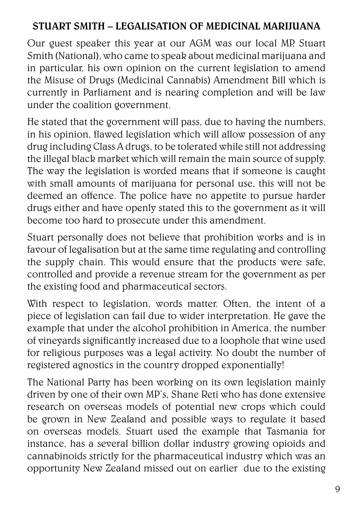## STUART SMITH – LEGALISATION OF MEDICINAL MARIJUANA

Our guest speaker this year at our AGM was our local MP, Stuart Smith (National), who came to speak about medicinal marijuana and in particular, his own opinion on the current legislation to amend the Misuse of Drugs (Medicinal Cannabis) Amendment Bill which is currently in Parliament and is nearing completion and will be law under the coalition government.

He stated that the government will pass, due to having the numbers, in his opinion, flawed legislation which will allow possession of any drug including Class A drugs, to be tolerated while still not addressing the illegal black market which will remain the main source of supply. The way the legislation is worded means that if someone is caught with small amounts of marijuana for personal use, this will not be deemed an offence. The police have no appetite to pursue harder drugs either and have openly stated this to the government as it will become too hard to prosecute under this amendment.

Stuart personally does not believe that prohibition works and is in favour of legalisation but at the same time regulating and controlling the supply chain. This would ensure that the products were safe, controlled and provide a revenue stream for the government as per the existing food and pharmaceutical sectors.

With respect to legislation, words matter. Often, the intent of a piece of legislation can fail due to wider interpretation. He gave the example that under the alcohol prohibition in America, the number of vineyards significantly increased due to a loophole that wine used for religious purposes was a legal activity. No doubt the number of registered agnostics in the country dropped exponentially!

The National Party has been working on its own legislation mainly driven by one of their own MP's, Shane Reti who has done extensive research on overseas models of potential new crops which could be grown in New Zealand and possible ways to regulate it based on overseas models. Stuart used the example that Tasmania for instance, has a several billion dollar industry growing opioids and cannabinoids strictly for the pharmaceutical industry which was an opportunity New Zealand missed out on earlier due to the existing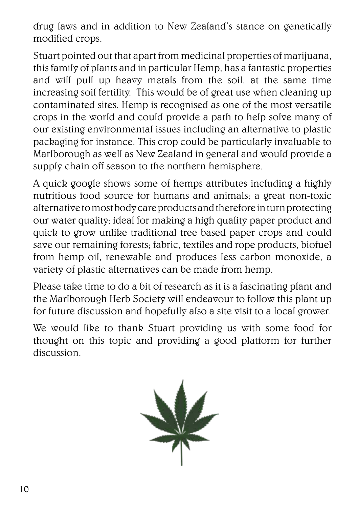drug laws and in addition to New Zealand's stance on genetically modified crops.

Stuart pointed out that apart from medicinal properties of marijuana, this family of plants and in particular Hemp, has a fantastic properties and will pull up heavy metals from the soil, at the same time increasing soil fertility. This would be of great use when cleaning up contaminated sites. Hemp is recognised as one of the most versatile crops in the world and could provide a path to help solve many of our existing environmental issues including an alternative to plastic packaging for instance. This crop could be particularly invaluable to Marlborough as well as New Zealand in general and would provide a supply chain off season to the northern hemisphere.

A quick google shows some of hemps attributes including a highly nutritious food source for humans and animals; a great non-toxic alternative to most body care products and therefore in turn protecting our water quality; ideal for making a high quality paper product and quick to grow unlike traditional tree based paper crops and could save our remaining forests; fabric, textiles and rope products, biofuel from hemp oil, renewable and produces less carbon monoxide, a variety of plastic alternatives can be made from hemp.

Please take time to do a bit of research as it is a fascinating plant and the Marlborough Herb Society will endeavour to follow this plant up for future discussion and hopefully also a site visit to a local grower.

We would like to thank Stuart providing us with some food for thought on this topic and providing a good platform for further discussion.

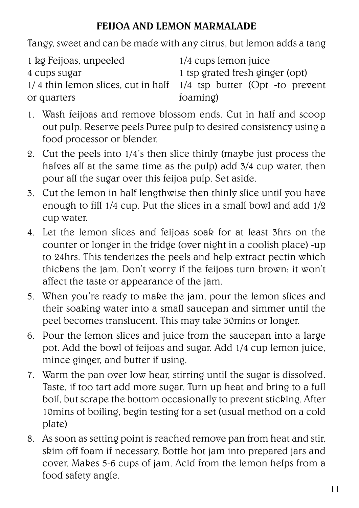## FEIJOA AND LEMON MARMALADE

Tangy, sweet and can be made with any citrus, but lemon adds a tang

| 1 tsp grated fresh ginger (opt)                                        |
|------------------------------------------------------------------------|
| $1/4$ thin lemon slices, cut in half $1/4$ tsp butter (Opt -to prevent |
|                                                                        |
|                                                                        |

- 1. Wash feijoas and remove blossom ends. Cut in half and scoop out pulp. Reserve peels Puree pulp to desired consistency using a food processor or blender.
- 2. Cut the peels into 1/4's then slice thinly (maybe just process the halves all at the same time as the pulp) add 3/4 cup water, then pour all the sugar over this feijoa pulp. Set aside.
- 3. Cut the lemon in half lengthwise then thinly slice until you have enough to fill 1/4 cup. Put the slices in a small bowl and add 1/2 cup water.
- 4. Let the lemon slices and feijoas soak for at least 3hrs on the counter or longer in the fridge (over night in a coolish place) -up to 24hrs. This tenderizes the peels and help extract pectin which thickens the jam. Don't worry if the feijoas turn brown; it won't affect the taste or appearance of the jam.
- 5. When you're ready to make the jam, pour the lemon slices and their soaking water into a small saucepan and simmer until the peel becomes translucent. This may take 30mins or longer.
- 6. Pour the lemon slices and juice from the saucepan into a large pot. Add the bowl of feijoas and sugar. Add 1/4 cup lemon juice, mince ginger, and butter if using.
- 7. Warm the pan over low hear, stirring until the sugar is dissolved. Taste, if too tart add more sugar. Turn up heat and bring to a full boil, but scrape the bottom occasionally to prevent sticking. After 10mins of boiling, begin testing for a set (usual method on a cold plate)
- 8. As soon as setting point is reached remove pan from heat and stir, skim off foam if necessary. Bottle hot jam into prepared jars and cover. Makes 5-6 cups of jam. Acid from the lemon helps from a food safety angle.